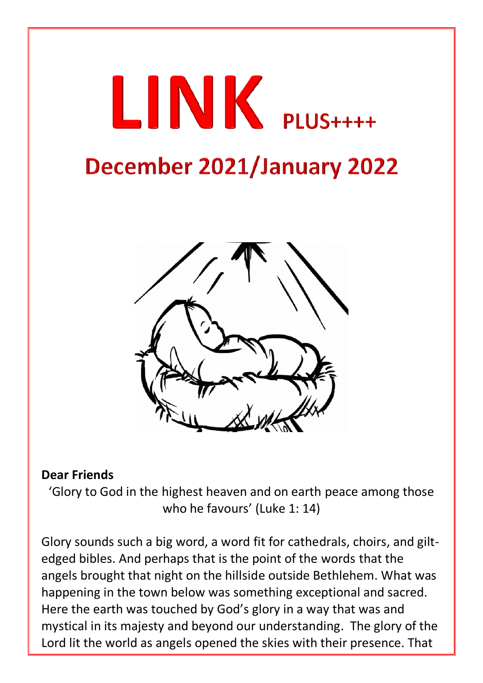# LINK PLUS++++

## December 2021/January 2022



#### **Dear Friends**

'Glory to God in the highest heaven and on earth peace among those who he favours' (Luke 1: 14)

Glory sounds such a big word, a word fit for cathedrals, choirs, and giltedged bibles. And perhaps that is the point of the words that the angels brought that night on the hillside outside Bethlehem. What was happening in the town below was something exceptional and sacred. Here the earth was touched by God's glory in a way that was and mystical in its majesty and beyond our understanding. The glory of the Lord lit the world as angels opened the skies with their presence. That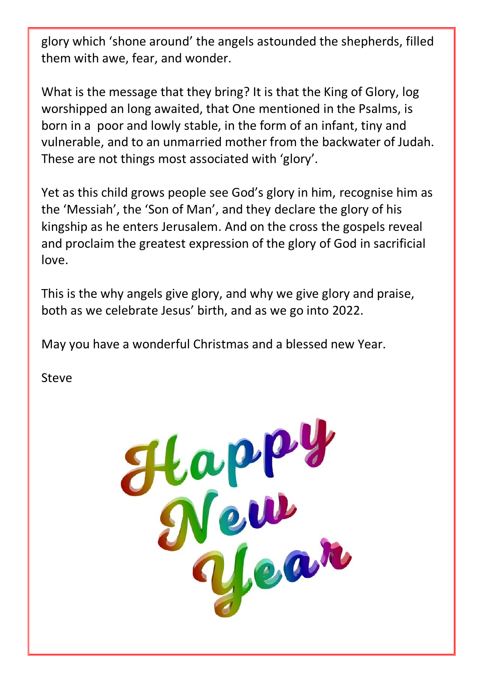glory which 'shone around' the angels astounded the shepherds, filled them with awe, fear, and wonder.

What is the message that they bring? It is that the King of Glory, log worshipped an long awaited, that One mentioned in the Psalms, is born in a poor and lowly stable, in the form of an infant, tiny and vulnerable, and to an unmarried mother from the backwater of Judah. These are not things most associated with 'glory'.

Yet as this child grows people see God's glory in him, recognise him as the 'Messiah', the 'Son of Man', and they declare the glory of his kingship as he enters Jerusalem. And on the cross the gospels reveal and proclaim the greatest expression of the glory of God in sacrificial love.

This is the why angels give glory, and why we give glory and praise, both as we celebrate Jesus' birth, and as we go into 2022.

May you have a wonderful Christmas and a blessed new Year.

Steve

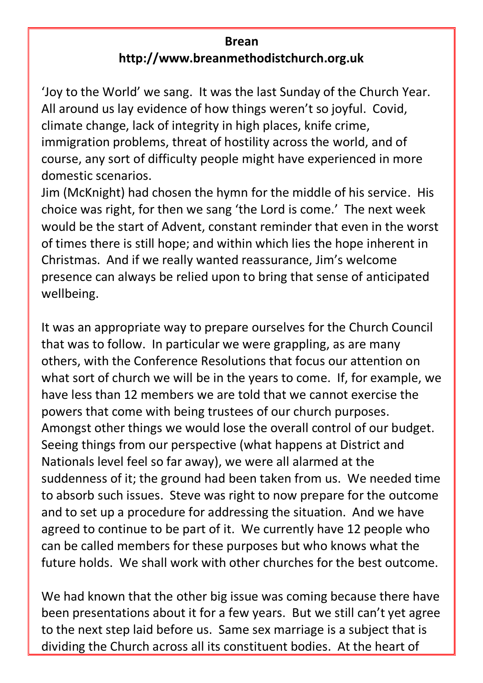#### **Brean http://www.breanmethodistchurch.org.uk**

'Joy to the World' we sang. It was the last Sunday of the Church Year. All around us lay evidence of how things weren't so joyful. Covid, climate change, lack of integrity in high places, knife crime, immigration problems, threat of hostility across the world, and of course, any sort of difficulty people might have experienced in more domestic scenarios.

Jim (McKnight) had chosen the hymn for the middle of his service. His choice was right, for then we sang 'the Lord is come.' The next week would be the start of Advent, constant reminder that even in the worst of times there is still hope; and within which lies the hope inherent in Christmas. And if we really wanted reassurance, Jim's welcome presence can always be relied upon to bring that sense of anticipated wellbeing.

It was an appropriate way to prepare ourselves for the Church Council that was to follow. In particular we were grappling, as are many others, with the Conference Resolutions that focus our attention on what sort of church we will be in the years to come. If, for example, we have less than 12 members we are told that we cannot exercise the powers that come with being trustees of our church purposes. Amongst other things we would lose the overall control of our budget. Seeing things from our perspective (what happens at District and Nationals level feel so far away), we were all alarmed at the suddenness of it; the ground had been taken from us. We needed time to absorb such issues. Steve was right to now prepare for the outcome and to set up a procedure for addressing the situation. And we have agreed to continue to be part of it. We currently have 12 people who can be called members for these purposes but who knows what the future holds. We shall work with other churches for the best outcome.

We had known that the other big issue was coming because there have been presentations about it for a few years. But we still can't yet agree to the next step laid before us. Same sex marriage is a subject that is dividing the Church across all its constituent bodies. At the heart of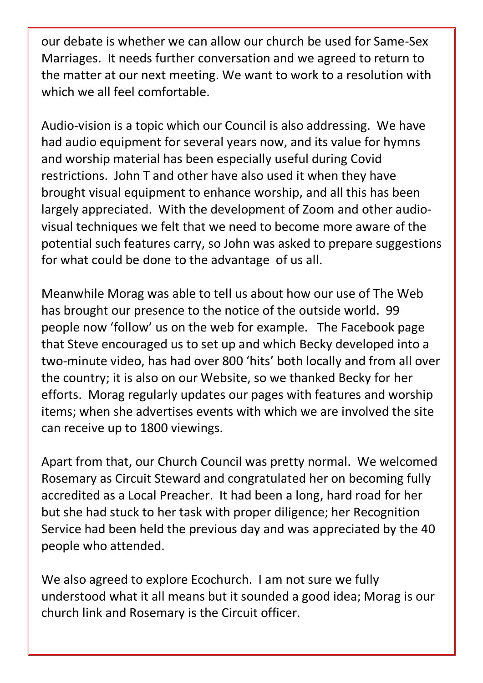our debate is whether we can allow our church be used for Same-Sex Marriages. It needs further conversation and we agreed to return to the matter at our next meeting. We want to work to a resolution with which we all feel comfortable.

Audio-vision is a topic which our Council is also addressing. We have had audio equipment for several years now, and its value for hymns and worship material has been especially useful during Covid restrictions. John T and other have also used it when they have brought visual equipment to enhance worship, and all this has been largely appreciated. With the development of Zoom and other audiovisual techniques we felt that we need to become more aware of the potential such features carry, so John was asked to prepare suggestions for what could be done to the advantage of us all.

Meanwhile Morag was able to tell us about how our use of The Web has brought our presence to the notice of the outside world. 99 people now 'follow' us on the web for example. The Facebook page that Steve encouraged us to set up and which Becky developed into a two-minute video, has had over 800 'hits' both locally and from all over the country; it is also on our Website, so we thanked Becky for her efforts. Morag regularly updates our pages with features and worship items; when she advertises events with which we are involved the site can receive up to 1800 viewings.

Apart from that, our Church Council was pretty normal. We welcomed Rosemary as Circuit Steward and congratulated her on becoming fully accredited as a Local Preacher. It had been a long, hard road for her but she had stuck to her task with proper diligence; her Recognition Service had been held the previous day and was appreciated by the 40 people who attended.

We also agreed to explore Ecochurch. I am not sure we fully understood what it all means but it sounded a good idea; Morag is our church link and Rosemary is the Circuit officer.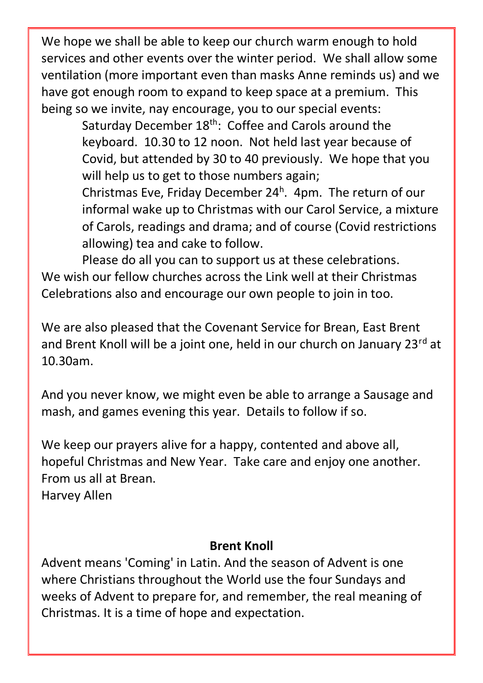We hope we shall be able to keep our church warm enough to hold services and other events over the winter period. We shall allow some ventilation (more important even than masks Anne reminds us) and we have got enough room to expand to keep space at a premium. This being so we invite, nay encourage, you to our special events:

Saturday December 18<sup>th</sup>: Coffee and Carols around the keyboard. 10.30 to 12 noon. Not held last year because of Covid, but attended by 30 to 40 previously. We hope that you will help us to get to those numbers again;

Christmas Eve, Friday December 24<sup>h</sup>. 4pm. The return of our informal wake up to Christmas with our Carol Service, a mixture of Carols, readings and drama; and of course (Covid restrictions allowing) tea and cake to follow.

Please do all you can to support us at these celebrations. We wish our fellow churches across the Link well at their Christmas Celebrations also and encourage our own people to join in too.

We are also pleased that the Covenant Service for Brean, East Brent and Brent Knoll will be a joint one, held in our church on January 23<sup>rd</sup> at 10.30am.

And you never know, we might even be able to arrange a Sausage and mash, and games evening this year. Details to follow if so.

We keep our prayers alive for a happy, contented and above all, hopeful Christmas and New Year. Take care and enjoy one another. From us all at Brean. Harvey Allen

#### **Brent Knoll**

Advent means 'Coming' in Latin. And the season of Advent is one where Christians throughout the World use the four Sundays and weeks of Advent to prepare for, and remember, the real meaning of Christmas. It is a time of hope and expectation.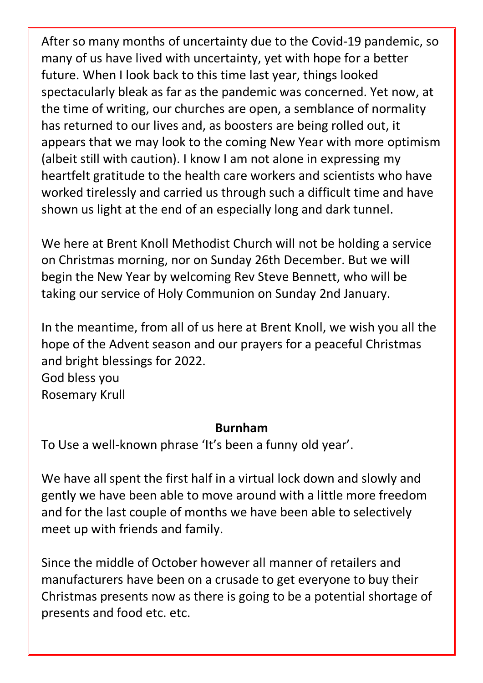After so many months of uncertainty due to the Covid-19 pandemic, so many of us have lived with uncertainty, yet with hope for a better future. When I look back to this time last year, things looked spectacularly bleak as far as the pandemic was concerned. Yet now, at the time of writing, our churches are open, a semblance of normality has returned to our lives and, as boosters are being rolled out, it appears that we may look to the coming New Year with more optimism (albeit still with caution). I know I am not alone in expressing my heartfelt gratitude to the health care workers and scientists who have worked tirelessly and carried us through such a difficult time and have shown us light at the end of an especially long and dark tunnel.

We here at Brent Knoll Methodist Church will not be holding a service on Christmas morning, nor on Sunday 26th December. But we will begin the New Year by welcoming Rev Steve Bennett, who will be taking our service of Holy Communion on Sunday 2nd January.

In the meantime, from all of us here at Brent Knoll, we wish you all the hope of the Advent season and our prayers for a peaceful Christmas and bright blessings for 2022. God bless you

Rosemary Krull

#### **Burnham**

To Use a well-known phrase 'It's been a funny old year'.

We have all spent the first half in a virtual lock down and slowly and gently we have been able to move around with a little more freedom and for the last couple of months we have been able to selectively meet up with friends and family.

Since the middle of October however all manner of retailers and manufacturers have been on a crusade to get everyone to buy their Christmas presents now as there is going to be a potential shortage of presents and food etc. etc.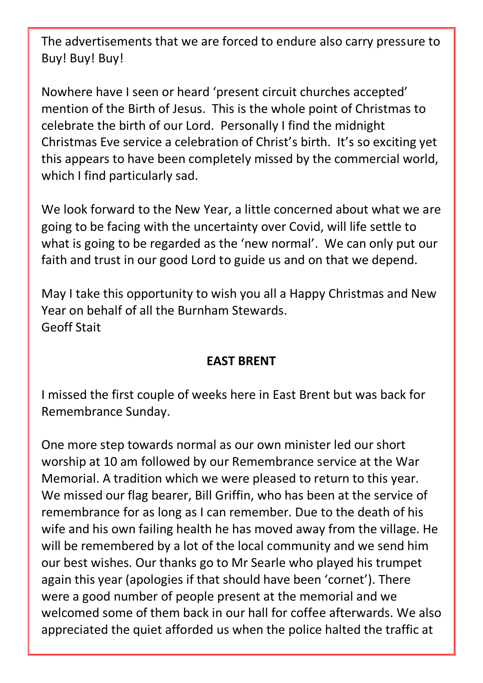The advertisements that we are forced to endure also carry pressure to Buy! Buy! Buy!

Nowhere have I seen or heard 'present circuit churches accepted' mention of the Birth of Jesus. This is the whole point of Christmas to celebrate the birth of our Lord. Personally I find the midnight Christmas Eve service a celebration of Christ's birth. It's so exciting yet this appears to have been completely missed by the commercial world, which I find particularly sad.

We look forward to the New Year, a little concerned about what we are going to be facing with the uncertainty over Covid, will life settle to what is going to be regarded as the 'new normal'. We can only put our faith and trust in our good Lord to guide us and on that we depend.

May I take this opportunity to wish you all a Happy Christmas and New Year on behalf of all the Burnham Stewards. Geoff Stait

#### **EAST BRENT**

I missed the first couple of weeks here in East Brent but was back for Remembrance Sunday.

One more step towards normal as our own minister led our short worship at 10 am followed by our Remembrance service at the War Memorial. A tradition which we were pleased to return to this year. We missed our flag bearer, Bill Griffin, who has been at the service of remembrance for as long as I can remember. Due to the death of his wife and his own failing health he has moved away from the village. He will be remembered by a lot of the local community and we send him our best wishes. Our thanks go to Mr Searle who played his trumpet again this year (apologies if that should have been 'cornet'). There were a good number of people present at the memorial and we welcomed some of them back in our hall for coffee afterwards. We also appreciated the quiet afforded us when the police halted the traffic at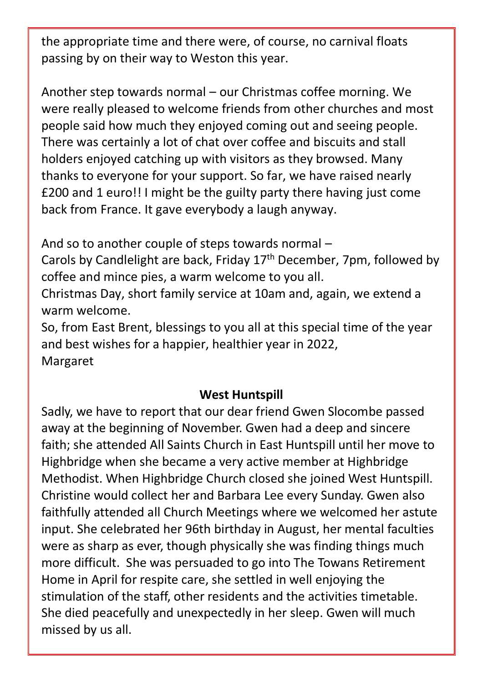the appropriate time and there were, of course, no carnival floats passing by on their way to Weston this year.

Another step towards normal – our Christmas coffee morning. We were really pleased to welcome friends from other churches and most people said how much they enjoyed coming out and seeing people. There was certainly a lot of chat over coffee and biscuits and stall holders enjoyed catching up with visitors as they browsed. Many thanks to everyone for your support. So far, we have raised nearly £200 and 1 euro!! I might be the guilty party there having just come back from France. It gave everybody a laugh anyway.

And so to another couple of steps towards normal –

Carols by Candlelight are back, Friday  $17<sup>th</sup>$  December, 7pm, followed by coffee and mince pies, a warm welcome to you all.

Christmas Day, short family service at 10am and, again, we extend a warm welcome.

So, from East Brent, blessings to you all at this special time of the year and best wishes for a happier, healthier year in 2022, Margaret

#### **West Huntspill**

Sadly, we have to report that our dear friend Gwen Slocombe passed away at the beginning of November. Gwen had a deep and sincere faith; she attended All Saints Church in East Huntspill until her move to Highbridge when she became a very active member at Highbridge Methodist. When Highbridge Church closed she joined West Huntspill. Christine would collect her and Barbara Lee every Sunday. Gwen also faithfully attended all Church Meetings where we welcomed her astute input. She celebrated her 96th birthday in August, her mental faculties were as sharp as ever, though physically she was finding things much more difficult. She was persuaded to go into The Towans Retirement Home in April for respite care, she settled in well enjoying the stimulation of the staff, other residents and the activities timetable. She died peacefully and unexpectedly in her sleep. Gwen will much missed by us all.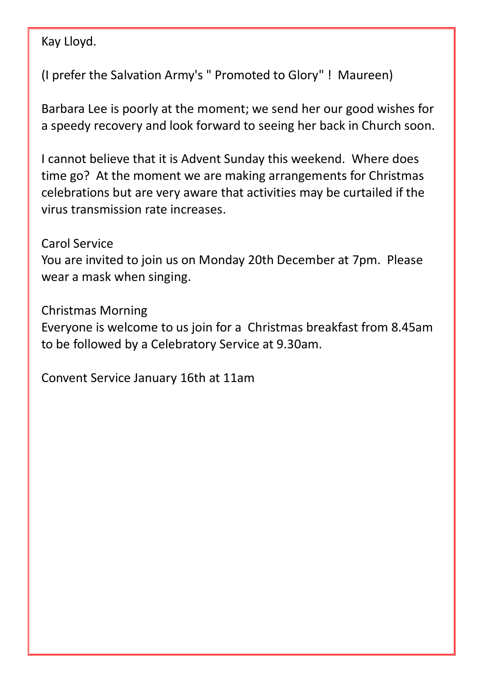Kay Lloyd.

(I prefer the Salvation Army's " Promoted to Glory" ! Maureen)

Barbara Lee is poorly at the moment; we send her our good wishes for a speedy recovery and look forward to seeing her back in Church soon.

I cannot believe that it is Advent Sunday this weekend. Where does time go? At the moment we are making arrangements for Christmas celebrations but are very aware that activities may be curtailed if the virus transmission rate increases.

#### Carol Service

You are invited to join us on Monday 20th December at 7pm. Please wear a mask when singing.

Christmas Morning

Everyone is welcome to us join for a Christmas breakfast from 8.45am to be followed by a Celebratory Service at 9.30am.

Convent Service January 16th at 11am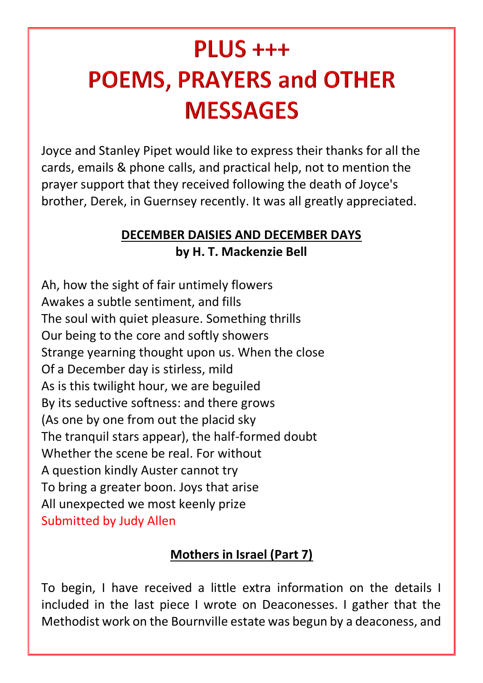## $PLUS +++$ **POEMS, PRAYERS and OTHER MESSAGES**

Joyce and Stanley Pipet would like to express their thanks for all the cards, emails & phone calls, and practical help, not to mention the prayer support that they received following the death of Joyce's brother, Derek, in Guernsey recently. It was all greatly appreciated.

#### **DECEMBER DAISIES AND DECEMBER DAYS by H. T. Mackenzie Bell**

Ah, how the sight of fair untimely flowers Awakes a subtle sentiment, and fills The soul with quiet pleasure. Something thrills Our being to the core and softly showers Strange yearning thought upon us. When the close Of a December day is stirless, mild As is this twilight hour, we are beguiled By its seductive softness: and there grows (As one by one from out the placid sky The tranquil stars appear), the half-formed doubt Whether the scene be real. For without A question kindly Auster cannot try To bring a greater boon. Joys that arise All unexpected we most keenly prize Submitted by Judy Allen

#### **Mothers in Israel (Part 7)**

To begin, I have received a little extra information on the details I included in the last piece I wrote on Deaconesses. I gather that the Methodist work on the Bournville estate was begun by a deaconess, and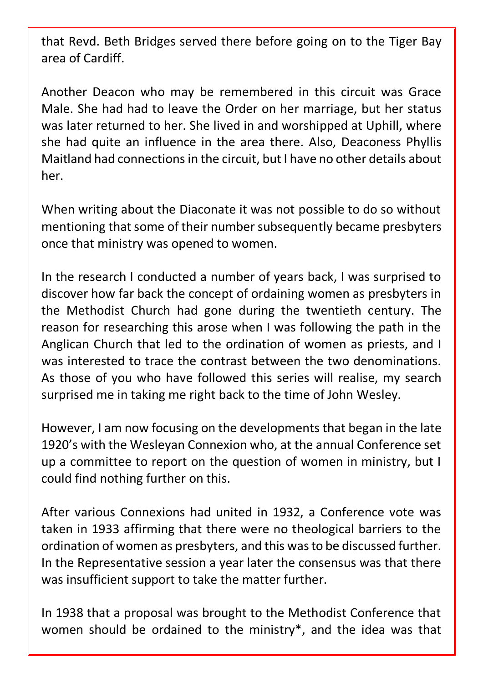that Revd. Beth Bridges served there before going on to the Tiger Bay area of Cardiff.

Another Deacon who may be remembered in this circuit was Grace Male. She had had to leave the Order on her marriage, but her status was later returned to her. She lived in and worshipped at Uphill, where she had quite an influence in the area there. Also, Deaconess Phyllis Maitland had connections in the circuit, but I have no other details about her.

When writing about the Diaconate it was not possible to do so without mentioning that some of their number subsequently became presbyters once that ministry was opened to women.

In the research I conducted a number of years back, I was surprised to discover how far back the concept of ordaining women as presbyters in the Methodist Church had gone during the twentieth century. The reason for researching this arose when I was following the path in the Anglican Church that led to the ordination of women as priests, and I was interested to trace the contrast between the two denominations. As those of you who have followed this series will realise, my search surprised me in taking me right back to the time of John Wesley.

However, I am now focusing on the developments that began in the late 1920's with the Wesleyan Connexion who, at the annual Conference set up a committee to report on the question of women in ministry, but I could find nothing further on this.

After various Connexions had united in 1932, a Conference vote was taken in 1933 affirming that there were no theological barriers to the ordination of women as presbyters, and this was to be discussed further. In the Representative session a year later the consensus was that there was insufficient support to take the matter further.

In 1938 that a proposal was brought to the Methodist Conference that women should be ordained to the ministry\*, and the idea was that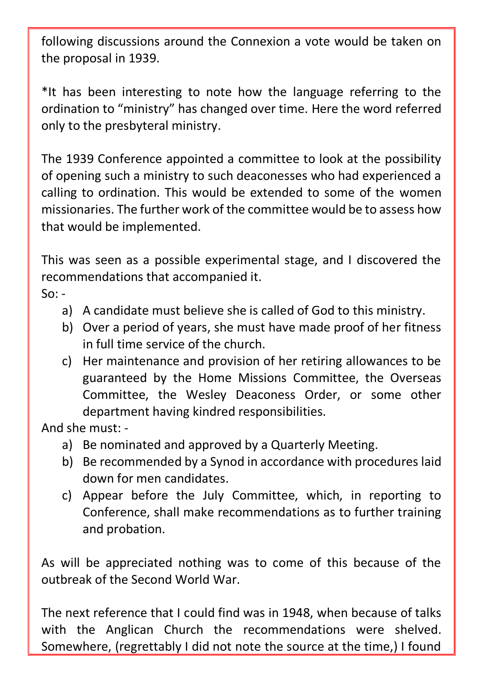following discussions around the Connexion a vote would be taken on the proposal in 1939.

\*It has been interesting to note how the language referring to the ordination to "ministry" has changed over time. Here the word referred only to the presbyteral ministry.

The 1939 Conference appointed a committee to look at the possibility of opening such a ministry to such deaconesses who had experienced a calling to ordination. This would be extended to some of the women missionaries. The further work of the committee would be to assess how that would be implemented.

This was seen as a possible experimental stage, and I discovered the recommendations that accompanied it.

 $So: -$ 

- a) A candidate must believe she is called of God to this ministry.
- b) Over a period of years, she must have made proof of her fitness in full time service of the church.
- c) Her maintenance and provision of her retiring allowances to be guaranteed by the Home Missions Committee, the Overseas Committee, the Wesley Deaconess Order, or some other department having kindred responsibilities.

And she must: -

- a) Be nominated and approved by a Quarterly Meeting.
- b) Be recommended by a Synod in accordance with procedures laid down for men candidates.
- c) Appear before the July Committee, which, in reporting to Conference, shall make recommendations as to further training and probation.

As will be appreciated nothing was to come of this because of the outbreak of the Second World War.

The next reference that I could find was in 1948, when because of talks with the Anglican Church the recommendations were shelved. Somewhere, (regrettably I did not note the source at the time,) I found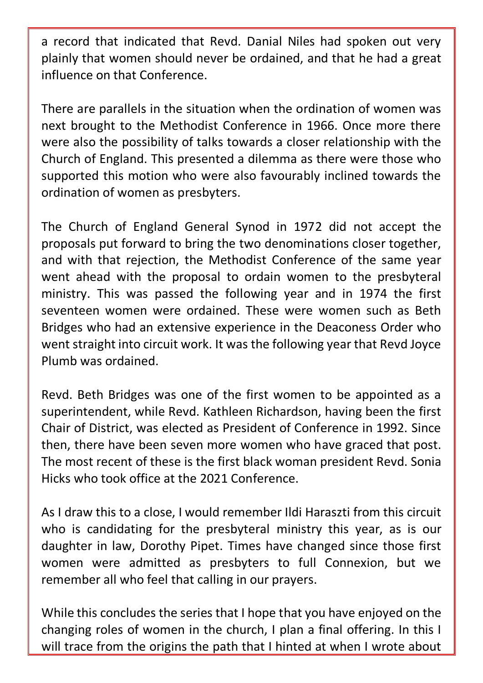a record that indicated that Revd. Danial Niles had spoken out very plainly that women should never be ordained, and that he had a great influence on that Conference.

There are parallels in the situation when the ordination of women was next brought to the Methodist Conference in 1966. Once more there were also the possibility of talks towards a closer relationship with the Church of England. This presented a dilemma as there were those who supported this motion who were also favourably inclined towards the ordination of women as presbyters.

The Church of England General Synod in 1972 did not accept the proposals put forward to bring the two denominations closer together, and with that rejection, the Methodist Conference of the same year went ahead with the proposal to ordain women to the presbyteral ministry. This was passed the following year and in 1974 the first seventeen women were ordained. These were women such as Beth Bridges who had an extensive experience in the Deaconess Order who went straight into circuit work. It was the following year that Revd Joyce Plumb was ordained.

Revd. Beth Bridges was one of the first women to be appointed as a superintendent, while Revd. Kathleen Richardson, having been the first Chair of District, was elected as President of Conference in 1992. Since then, there have been seven more women who have graced that post. The most recent of these is the first black woman president Revd. Sonia Hicks who took office at the 2021 Conference.

As I draw this to a close, I would remember Ildi Haraszti from this circuit who is candidating for the presbyteral ministry this year, as is our daughter in law, Dorothy Pipet. Times have changed since those first women were admitted as presbyters to full Connexion, but we remember all who feel that calling in our prayers.

While this concludes the series that I hope that you have enjoyed on the changing roles of women in the church, I plan a final offering. In this I will trace from the origins the path that I hinted at when I wrote about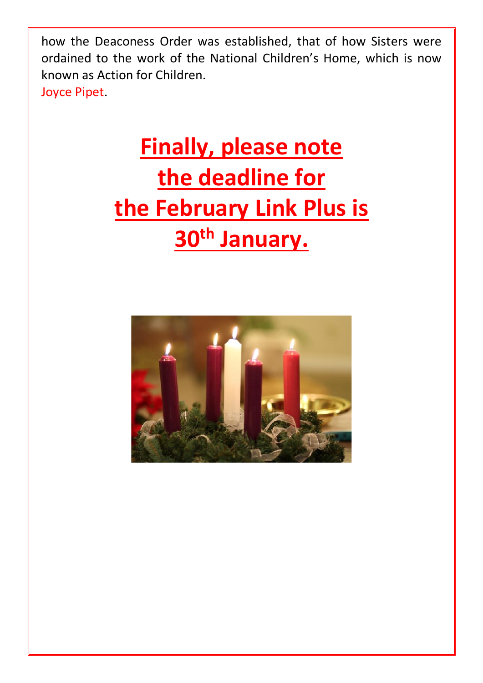how the Deaconess Order was established, that of how Sisters were ordained to the work of the National Children's Home, which is now known as Action for Children. Joyce Pipet.

# **Finally, please note the deadline for the February Link Plus is 30th January.**

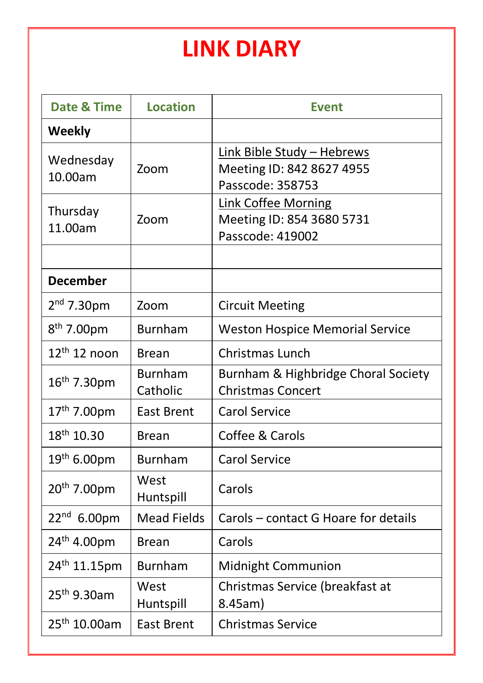## **LINK DIARY**

| <b>Date &amp; Time</b>   | <b>Location</b>            | <b>Event</b>                                                                |
|--------------------------|----------------------------|-----------------------------------------------------------------------------|
| <b>Weekly</b>            |                            |                                                                             |
| Wednesday<br>10.00am     | Zoom                       | Link Bible Study - Hebrews<br>Meeting ID: 842 8627 4955<br>Passcode: 358753 |
| Thursday<br>11.00am      | Zoom                       | Link Coffee Morning<br>Meeting ID: 854 3680 5731<br>Passcode: 419002        |
| <b>December</b>          |                            |                                                                             |
| $2nd$ 7.30pm             | Zoom                       | <b>Circuit Meeting</b>                                                      |
| $8^{th}$ 7.00pm          | <b>Burnham</b>             | <b>Weston Hospice Memorial Service</b>                                      |
| $12th 12$ noon           | Brean                      | <b>Christmas Lunch</b>                                                      |
| 16th 7.30pm              | <b>Burnham</b><br>Catholic | Burnham & Highbridge Choral Society<br>Christmas Concert                    |
| 17 <sup>th</sup> 7.00pm  | <b>East Brent</b>          | <b>Carol Service</b>                                                        |
| 18 <sup>th</sup> 10.30   | Brean                      | Coffee & Carols                                                             |
| $19^{th}$ 6.00pm         | <b>Burnham</b>             | <b>Carol Service</b>                                                        |
| 20 <sup>th</sup> 7.00pm  | West<br>Huntspill          | Carols                                                                      |
| 22 <sup>nd</sup> 6.00pm  | <b>Mead Fields</b>         | Carols - contact G Hoare for details                                        |
| 24 <sup>th</sup> 4.00pm  | Brean                      | Carols                                                                      |
| 24 <sup>th</sup> 11.15pm | <b>Burnham</b>             | Midnight Communion                                                          |
| 25 <sup>th</sup> 9.30am  | West<br>Huntspill          | Christmas Service (breakfast at<br>8.45am)                                  |
| 25 <sup>th</sup> 10.00am | <b>East Brent</b>          | <b>Christmas Service</b>                                                    |